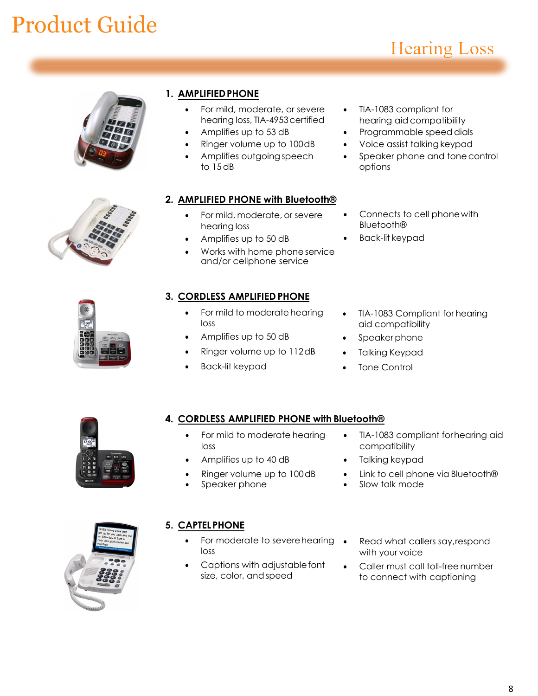# Product Guide

# **Hearing Loss**







### **1. AMPLIFIEDPHONE**

- For mild, moderate, or severe hearing loss, TIA-4953 certified
- Amplifies up to 53 dB
- Ringer volume up to 100dB
- Amplifies outgoingspeech to 15dB

### **2. AMPLIFIED PHONE with Bluetooth®**

- For mild, moderate, or severe hearing loss
- Amplifies up to 50 dB
- Works with home phone service and/or cellphone service

### **3. CORDLESS AMPLIFIED PHONE**

- For mild to moderate hearing loss
- Amplifies up to 50 dB
- Ringer volume up to 112 dB
- Back-lit keypad
- TIA-1083 compliant for hearing aid compatibility
- Programmable speed dials
- Voice assist talking keypad
- Speaker phone and tone control options
- Connects to cell phonewith Bluetooth®
- Back-lit keypad
- TIA-1083 Compliant for hearing aid compatibility
- Speaker phone
- Talking Keypad
- **Tone Control**



### **4. CORDLESS AMPLIFIED PHONE with Bluetooth®**

- For mild to moderate hearing loss
- Amplifies up to 40 dB
- Ringer volume up to 100 dB
- Speaker phone

# **5. CAPTELPHONE**

- For moderate to severe hearing loss
- Captions with adjustable font size, color, and speed
- TIA-1083 compliant for hearing aid compatibility
- Talking keypad
- Link to cell phone via Bluetooth®
- Slow talk mode
- Read what callers say,respond with your voice
- Caller must call toll-free number to connect with captioning
- 

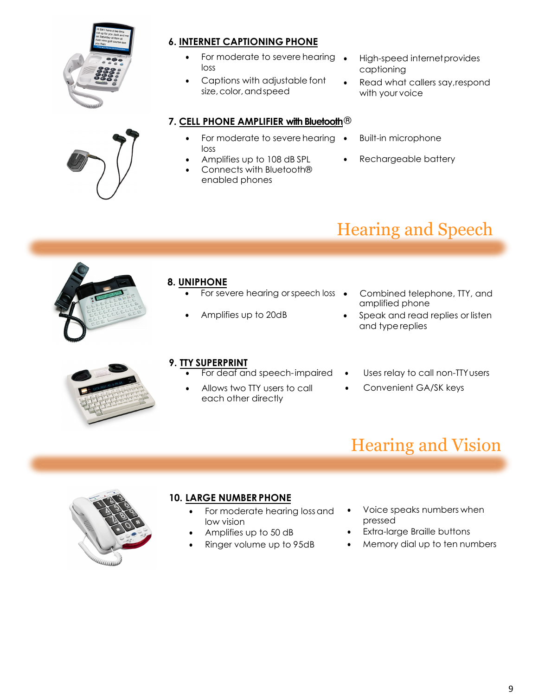



## **6. INTERNET CAPTIONING PHONE**

- For moderate to severe hearing loss
- Captions with adjustable font size, color, and speed

### **7. CELL PHONE AMPLIFIER with Bluetooth**®

- For moderate to severe hearing loss
- Amplifies up to 108 dB SPL
- Connects with Bluetooth® enabled phones
- High-speed internet provides captioning
- Read what callers say,respond with your voice
- Built-in microphone
- Rechargeable battery

# Hearing and Speech



### **8. UNIPHONE**

- 
- 
- For severe hearing or speech loss Combined telephone, TTY, and amplified phone
	- Amplifies up to 20dB Speak and read replies or listen and type replies



### **9. TTY SUPERPRINT**

- For deaf and speech-impaired Uses relay to call non-TTY users
- Allows two TTY users to call each other directly
- 
- Convenient GA/SK keys

# Hearing and Vision



### **10. LARGE NUMBER PHONE**

- For moderate hearing lossand low vision
- Amplifies up to 50 dB
- Ringer volume up to 95dB
- Voice speaks numbers when pressed
- **Extra-large Braille buttons**
- Memory dial up to ten numbers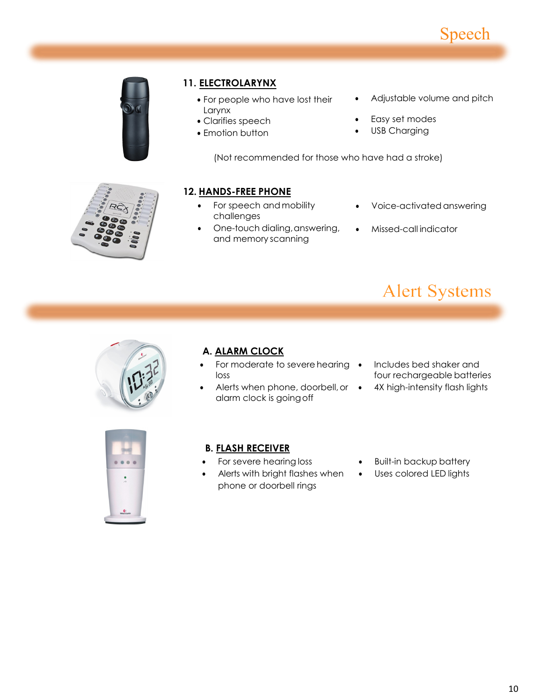



### **11. ELECTROLARYNX**

- For people who have lost their Larynx
- Clarifies speech
- Emotion button
- Adjustable volume and pitch
- Easy set modes
- USB Charging

(Not recommended for those who have had a stroke)



### **12. HANDS-FREE PHONE**

- For speech and mobility challenges
- One-touch dialing, answering, and memory scanning
- Voice-activated answering
- Missed-call indicator

# **Alert Systems**



### **A. ALARM CLOCK**

- For moderate to severe hearing loss
- Alerts when phone, doorbell, or alarm clock is goingoff
- Includes bed shaker and four rechargeable batteries
	- 4X high-intensity flash lights



## **B. FLASH RECEIVER**

- For severe hearing loss
- Alerts with bright flashes when phone or doorbell rings
- Built-in backup battery
- Uses colored LED lights